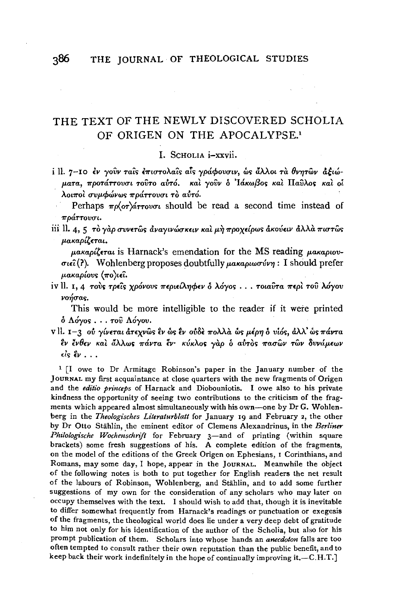# THE TEXT OF THE NEWLY DISCOVERED SCHOLIA OF ORIGEN ON THE APOCALYPSE.<sup>1</sup>

I. SCHOLIA i-xxvii.

i II. 7-10 εν γούν ταΐς επιστολαΐς αΐς γράφουσιν, ως άλλοι τα θνητών άξιώματα, προτάττουσι τούτο αύτό. και γούν ο Ιάκωβος και Παύλος και οί λοιποί συμφώνως πράττουσι το αύτό.

Perhaps  $\pi \rho \langle \sigma r \rangle d\tau \tau \omega \sigma \nu$  should be read a second time instead of πράττουσι.

iii II. 4, 5 το γάρ συνετώς αναγινώσκειν και μη προχείρως ακούειν άλλα πιστώς μακαρίζεται.

 $\mu$ akapí $\zeta$ erai is Harnack's emendation for the MS reading  $\mu$ akapiov- $\sigma_{\ell}(\lambda)$ . Wohlenberg proposes doubtfully  $\mu$ aka $\rho_{\ell}$ wo  $\nu$ r : I should prefer μακαρίους (πο)ιεῖ.

iv II. 1, 4 τους τρείς χρόνους περιείληφεν δ λόγος ... τοιαύτα περί του λόγου νοήσας.

This would be more intelligible to the reader if it were printed δ Λόγος... του Λόγου.

v ll. 1-3 ού γίνεται άτεχνως εν ώς εν ούδε πολλά ως μέρη ο υίός, άλλ' ως πάντα έν ένθεν και άλλως πάντα έν· κύκλος γαρ ο αυτος πασών των δυνάμεων  $\epsilon \dot{i}$ s έν...

<sup>1</sup> [I owe to Dr Armitage Robinson's paper in the January number of the JOURNAL my first acquaintance at close quarters with the new fragments of Origen and the editio princeps of Harnack and Diobouniotis. I owe also to his private kindness the opportunity of seeing two contributions to the criticism of the fragments which appeared almost simultaneously with his own—one by Dr G. Wohlenberg in the Theologisches Literaturblatt for January 19 and February 2, the other by Dr Otto Stählin, the eminent editor of Clemens Alexandrinus, in the Berliner Philologische Wochenschrift for February 3-and of printing (within square brackets) some fresh suggestions of his. A complete edition of the fragments, on the model of the editions of the Greek Origen on Ephesians, I Corinthians, and Romans, may some day, I hope, appear in the JOURNAL. Meanwhile the object of the following notes is both to put together for English readers the net result of the labours of Robinson, Wohlenberg, and Stählin, and to add some further suggestions of my own for the consideration of any scholars who may later on occupy themselves with the text. I should wish to add that, though it is inevitable to differ somewhat frequently from Harnack's readings or punctuation or exegesis of the fragments, the theological world does lie under a very deep debt of gratitude to him not only for his identification of the author of the Scholia, but also for his prompt publication of them. Scholars into whose hands an anecdoton falls are too often tempted to consult rather their own reputation than the public benefit, and to keep back their work indefinitely in the hope of continually improving it.-C.H.T.]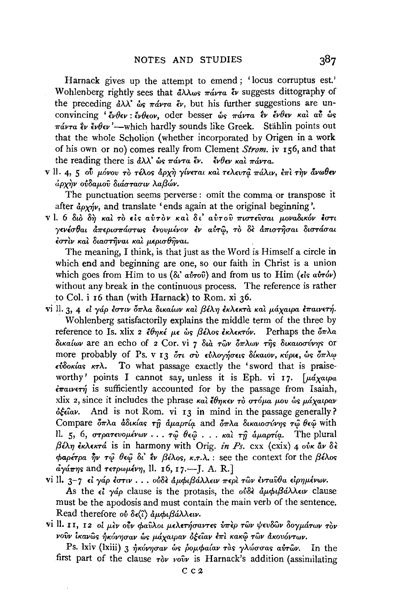Harnack gives up the attempt to emend; 'locus corruptus est.' Wohlenberg rightly sees that  $d\lambda \lambda \omega s$   $\pi \omega r a$   $\epsilon \nu$  suggests dittography of the preceding  $\partial \lambda \lambda^3$   $\partial s$   $\pi \partial \nu \pi \partial r$ , but his further suggestions are unconvincing ' ένθεν : ένθεον, oder besser ως πάντα εν ένθεν και αν ως  $\pi\acute{a}\nu\tau a$   $\grave{\epsilon}\nu$   $\acute{\epsilon}\nu\theta\epsilon\nu'$  -which hardly sounds like Greek. Stählin points out that the whole Scholion (whether incorporated by Origen in a work of his own or no) comes really from Clement *Strom*. iv 156, and that the reading there is  $d\lambda \lambda^3$  ws  $\pi d\nu \tau a \xi \nu$ .  $\dot{\xi} \nu \theta \epsilon \nu$  *kat*  $\pi d\nu \tau a$ *.* 

V II. 4, 5 ού μόνου το τέλος άρχη γίνεται και τελευτά πάλιν, επι την άνωθεν *<i>γην ούδαμοῦ διάστασιν λαβών.* 

The punctuation seems perverse : omit the comma or transpose it after  $d\rho_{Y\gamma\gamma}$ , and translate 'ends again at the original beginning'.

VI. 6 διό δή καί τό είς αύτον και δι' αύτου πιστεύσαι μοναδικόν έστι *y£vl.cr6at a7r£ptC1"11"cLUTWS* ~vovp..l.vov *lv* a&~, TO *8£* &m~crat *OtUTacrat*   $\epsilon$ στίν και διαστήναι και μερισθήναι.

The meaning, I think, is that just as the Word is Himself a circle in which end and beginning are one, so our faith in Christ is a union which goes from Him to us  $(\delta t \dot{a} \dot{v} \dot{r} \delta \dot{v})$  and from us to Him ( $\epsilon \dot{l} s \dot{a} \dot{v} \dot{r} \delta \dot{v}$ ) without any break in the continuous process. The reference is rather to Col. i 16 than (with Harnack) to Rom. xi 36.

- vi II. 3, 4 εί γάρ έστιν δπλα δικαίων και βέλη έκλεκτα και μάχαιρα επαινετή. Wohlenberg satisfactorily explains the middle term of the three by reference to Is. xlix 2  $\ell \theta n \kappa \epsilon \mu \epsilon \psi$   $\beta \epsilon \lambda \omega s \epsilon \kappa \tau \omega$ . Perhaps the  $\delta \pi \lambda \alpha$ *OtKa[wv* are an echo of 2 Cor. vi 7 *Ota Twv 61rA.wv* ~s *OtKawcrvv71s* or more probably of Ps. v 13 ότι σύ εύλογήσεις δίκαιον, κύριε, ως όπλω  $\epsilon \hat{v}$ δοκίας κτλ. To what passage exactly the 'sword that is praiseworthy' points I cannot say, unless it is Eph. vi 17. [ $\mu$ *á*xatpa  $\epsilon \pi a v \epsilon \tau \gamma$  is sufficiently accounted for by the passage from Isaiah, xlix 2, since it includes the phrase *Kat l671K£v* To *UTop..a p..ov ws p..cixatpav*   $\delta \xi \epsilon \hat{i} \alpha \nu$ . And is not Rom. vi 13 in mind in the passage generally? Compare  $\delta \pi \lambda a$  *άδικίας τη αμαρτία and*  $\delta \pi \lambda a$  *δικαιοσύνης τω θεώ with* 11. 5, 6,  $\sigma$ *TpaTevoµévωv*  $\cdots$   $\tau$  $\hat{\omega}$   $\theta$ ε $\hat{\omega}$   $\cdots$  *Kat*  $\tau \hat{\eta}$  *aµapTia*. The plural *βέλη εκλεκτά* is in harmony with Orig. *in Ps.* cxx (cxix) 4 *ούκ ἂν δε*  $\phi$ αρέτρα  $\partial \nu$  τψ θεψ δι' εν βέλος, κ.τ.λ. : see the context for the *βέλος a*γάπης and *τετρωμένη*, ll. 16, 17.—*J. A. R.*]
- vi ll. 3-7 εί γάρ έστιν . . . ούδε άμφιβάλλειν περι των ένταυθα είρημένων. As the  $\epsilon i$   $\gamma \dot{\alpha} \rho$  clause is the protasis, the  $\delta \delta \dot{\alpha} \dot{\alpha} \mu \dot{\beta} \dot{\alpha} \lambda \dot{\beta} \dot{\alpha} \nu$  clause must be the apodosis and must contain the main verb of the sentence. Read therefore *ov* δε(ζ) αμφιβάλλειν.
- vi II. 11, 12 oi μεν ούν φαύλοι μελετήσαντες υπερ των ψευδών δογμάτων τον *vo*ν ikavωs ήκόνησαν ως μάγαιραν δέειαν επι κακω των ακουόντων.

Ps. lxiv (lxiii) 3 *ηκόνησαν* ως *ρομφαίαν τας γλώσσας αυτών*. In the first part of the clause  $\tau \delta \nu$  voiv is Harnack's addition (assimilating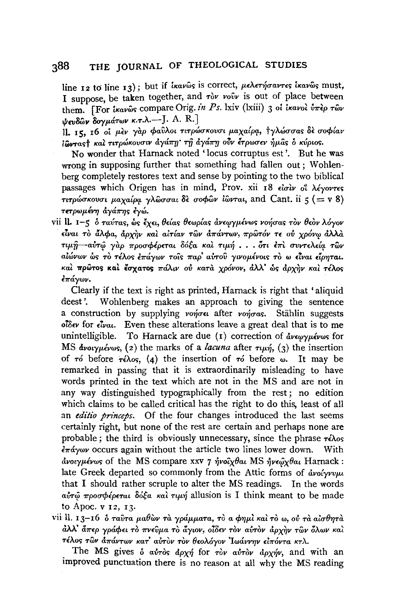#### THE JOURNAL OF THEOLOGICAL STUDIES  $388$

line 12 to line 13); but if *ixav*ωs is correct, μελετήσαντες ixavωs must. I suppose, be taken together, and ròv vouv is out of place between them. [For travos compare Orig. in Ps. lxiv (lxiii) 3 of travol υπέρ των  $\psi$ ευδών δογμάτων κ.τ.λ.-- J. A. R.]

.<br>11. 15. 16 οι μεν γάρ φαύλοι τιτρώσκουσι μαχαίρα, τγλώσσας δε σοφίαν ιώντας *και τιτρώκουσιν άγάπη τη αγάπη ούν έτρωσεν ήμ*ας ο κύριος.

No wonder that Harnack noted 'locus corruptus est'. But he was wrong in supposing further that something had fallen out; Wohlenberg completely restores text and sense by pointing to the two biblical passages which Origen has in mind, Prov. xii 18 είσιν οι λέγοντες τιτρώσκουσι μαχαίρα γλώσσαι δε σοφών ίώνται, and Cant. ii  $\varsigma$  (= v 8) τετρωμένη άγάπης έγώ.

vii II. 1-5 δ ταύτας, ως έχει, θείας θεωρίας άνεωγμένως νοήσας τον θεον λόγον είναι το άλφα, άρχην και αιτίαν των απάντων, πρώτον τε ού χρόνω άλλα τιμή αύτω γάρ προσφέρεται δόξα και τιμή.... ότι επι συντελεία των αίώνων ως το τέλος επάγων τοις παρ' αυτου γινομένοις το ω είναι είρηται. καί πρώτος καί έσχατος πάλιν ού κατά χρόνον, άλλ' ώς άρχην καί τέλος έπάγων.

Clearly if the text is right as printed, Harnack is right that 'aliquid deest'. Wohlenberg makes an approach to giving the sentence a construction by supplying vonous after vonous. Stählin suggests  $\delta \delta \hat{c}$  for  $\epsilon \hat{i}$  *val*. Even these alterations leave a great deal that is to me unintelligible. To Harnack are due (1) correction of  $\frac{d}{d}v \epsilon_{\psi} \gamma_{\mu} \epsilon_{\nu} \omega_{S}$  for MS  $\frac{d}{dx}$   $\frac{d}{dx}$   $\frac{d}{dx}$  (2) the marks of a *lacuna* after  $\tau \mu x$  (3) the insertion of  $\tau$  before  $\tau \in \lambda$  os, (4) the insertion of  $\tau$  before  $\omega$ . It may be remarked in passing that it is extraordinarily misleading to have words printed in the text which are not in the MS and are not in any way distinguished typographically from the rest; no edition which claims to be called critical has the right to do this, least of all an *editio princeps*. Of the four changes introduced the last seems certainly right, but none of the rest are certain and perhaps none are probable; the third is obviously unnecessary, since the phrase  $\tau \epsilon \lambda$ os  $\epsilon \pi \dot{\alpha}$  occurs again without the article two lines lower down. With άνοιγμένως of the MS compare xxv 7 ήνοιχθαι MS ήνεωχθαι Harnack: late Greek departed so commonly from the Attic forms of avoivvuu that I should rather scruple to alter the MS readings. In the words αύτω προσφέρεται δόξα και τιμή allusion is I think meant to be made to Apoc. v 12, 13.

vii ll. 13–16 δ ταῦτα μαθὼν τὰ γράμματα, τὸ α φημὶ καὶ τὸ ω, οὐ τὰ αἰσθητὰ άλλ' ἄπερ γράφει τὸ πνεῦμα τὸ ἄγιον, οἶδεν τὸν αὐτὸν ἀρχὴν τῶν ὅλων καὶ τέλος των απάντων κατ' αυτον τον θεολόγον Ιωάννην ειπόντα κτλ.

The MS gives  $\delta$  avros  $d\rho x \eta$  for rov avrov  $d\rho x \eta v$ , and with an improved punctuation there is no reason at all why the MS reading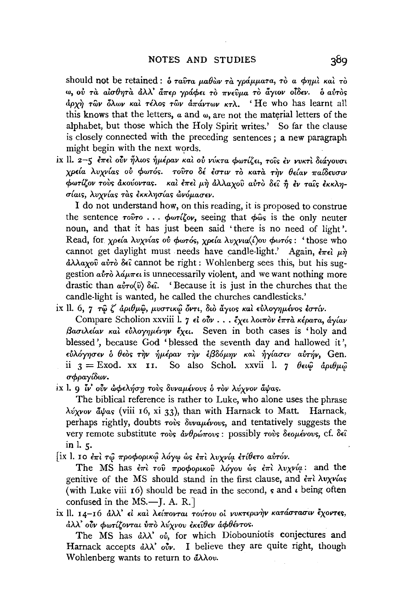should not be retained : δ ταύτα μαθών τα γράμματα, το α φημί και το ω, ού τα αίσθητα άλλ' άπερ γράφει το πνεύμα το άγιον οίδεν. ο αύτος άρχη των όλων και τέλος των απάντων κτλ. 'He who has learnt all this knows that the letters,  $\alpha$  and  $\omega$ , are not the material letters of the alphabet, but those which the Holy Spirit writes.' So far the clause is closely connected with the preceding sentences: a new paragraph might begin with the next words.

ix II. 2-5 επεί ούν ήλιος ήμέραν και ου νύκτα φωτίζει, τοις εν νυκτι διάγουσι γρεία λυχνίας ού φωτός. τούτο δέ έστιν το κατά την θείαν παίδευσιν φωτίζον τους ακούοντας. και έπει μη αλλαχου αυτο δεί ή εν ταίς εκκλησίαις, λυγνίας τας εκκλησίας ώνόμασεν.

I do not understand how, on this reading, it is proposed to construe the sentence  $\tau$ <sup>o</sup> $\hat{v}$  $\tau$  ...  $\phi$  $\omega\tau$ *i* $\zeta$ <sup>o</sup> $\nu$ , seeing that  $\phi$  $\hat{\omega}$ s is the only neuter noun, and that it has just been said 'there is no need of light'. Read, for *χρεία λυχνίας ου φωτός, χρεία λυγνια*(*ί)ου φωτός*: 'those who cannot get daylight must needs have candle-light.' Again,  $\epsilon_{\pi\epsilon}$   $\mu$  $\partial \lambda \lambda a_{X}$   $\partial \hat{v}$   $\partial \hat{v}$   $\partial \hat{\epsilon}$  cannot be right: Wohlenberg sees this, but his suggestion  $a\dot{v}\dot{\tau}\dot{\delta}$   $\lambda\dot{\alpha}\mu\pi\epsilon\dot{\iota}$  is unnecessarily violent, and we want nothing more drastic than  $a\dot{v}ro(\hat{v})$   $\delta\epsilon\hat{i}$ . 'Because it is just in the churches that the candle-light is wanted, he called the churches candlesticks.'

ix ll. 6, 7 τω ζ άριθμω, μυστικώ όντι, διο άγιος και εύλογημένος εστίν.

Compare Scholion xxviii l. 7 εί ούν... έχει λοιπον έπτα κέρατα, άγίαν βασιλείαν και εύλογημένην έχει. Seven in both cases is 'holy and blessed', because God 'blessed the seventh day and hallowed it', εύλόγησεν δ θεός την ήμέραν την έβδόμην και ήγίασεν αύτήν, Gen. ii  $3 =$  Exod. xx 11. So also Schol. xxvii 1. 7  $\theta \in \hat{\omega}$   $\hat{a} \rho \iota \theta \mu \hat{\omega}$ σφραγίδων.

ix l. 9 *ιν*' ούν ώφελήση τους δυναμένους ο τον λύχνον άψας.

The biblical reference is rather to Luke, who alone uses the phrase λύχνον άψας (viii 16, xi 33), than with Harnack to Matt. Harnack, perhaps rightly, doubts rovs δυναμένους, and tentatively suggests the very remote substitute τους άνθρώπους: possibly τους δεομένους, cf. δεί in  $l.5$ .

[ix l. 10 επι τώ προφορικώ λόγω ως επι λυχνία ετίθετο αυτόν.

The MS has  $\epsilon \pi i$  του προφορικου λόγου ως  $\epsilon \pi i \lambda v \chi v \varphi$ : and the genitive of the MS should stand in the first clause, and  $\epsilon \pi i \lambda v \chi \nu a s$ (with Luke viii  $\tau$ 6) should be read in the second, s and  $\iota$  being often confused in the  $MS. - J. A. R.$ 

ix II. 14-16 άλλ' εί και λείπονται τούτου οι νυκτερινήν κατάστασιν έχοντες, άλλ' ούν φωτίζονται ύπο λύχνου εκείθεν άφθέντος.

The MS has  $d\lambda\lambda$  ov, for which Diobouniotis conjectures and Harnack accepts  $\partial \lambda \lambda$  ov. I believe they are quite right, though Wohlenberg wants to return to άλλου.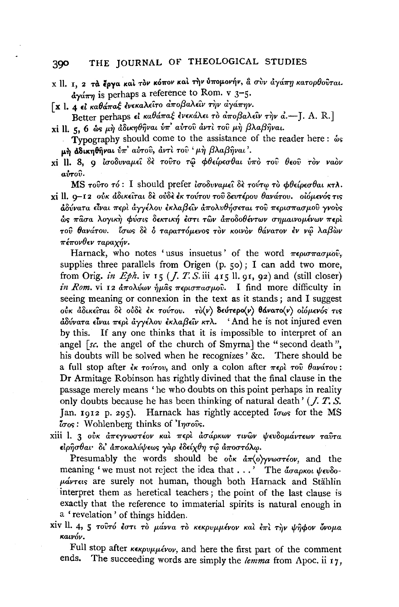#### THE IOURNAL OF THEOLOGICAL STUDIES 390

- x ll. 1. 2 τα έργα και τον κόπον και την ύπομονήν, α συν άγάπη κατορθούται.  $\frac{d}{dx}$  is perhaps a reference to Rom. v 3-5.
- Γχ Ι. 4 εί καθάπαξ ένεκαλείτο αποβαλείν την αγάπην.
- Better perhaps εί καθάπαξ ένεκάλει το αποβαλεΐν την α.-[. A. R.] xi ll. 5, 6 ως μη άδικηθήναι ύπ' αύτου άντι του μη βλαβήναι.
	- Typography should come to the assistance of the reader here:  $\omega$ s μή αδικηθήναι ύπ' αύτου, άντι του 'μή βλαβήναι'.
- xi ll. 8, 9 ισοδυναμεί δε τούτο τω φθείρεσθαι ύπο του θεού τον ναον  $a\rightarrow a\hat{v}$ .

MS τούτο τό: I should prefer ισοδυναμεί δε τούτω το φθείρεσθαι κτλ. xi ll. q-12 ούκ άδικείται δε ούδε έκ τούτου του δευτέρου θανάτου. οιόμενός τις άδύνατα είναι περί άγγέλου εκλαβείν άπολυθήσεται του περισπασμού γνούς ώς πάσα λογική φύσις δεκτική έστι των άποδοθέντων σημαινομένων περί του θανάτου. "άπως δε δ ταραττόμενος τον κοινον θάνατον εν νω λαβών πέπονθεν ταραχήν.

Harnack, who notes 'usus insuetus' of the word  $\pi\epsilon\rho\omega\pi\alpha\sigma\mu\omega\hat{v}$ , supplies three parallels from Origen  $(p, 50)$ ; I can add two more, from Orig. in Eph. iv 15 (  $I. T. S.$  iii 415 ll. 91, 92) and (still closer) in Rom. vi 12  $\frac{d}{dx}$   $\frac{d}{dx}$   $\frac{d}{dx}$   $\frac{d}{dx}$   $\frac{d}{dx}$   $\frac{d}{dx}$   $\frac{d}{dx}$   $\frac{d}{dx}$   $\frac{d}{dx}$   $\frac{d}{dx}$   $\frac{d}{dx}$   $\frac{d}{dx}$   $\frac{d}{dx}$   $\frac{d}{dx}$   $\frac{d}{dx}$   $\frac{d}{dx}$   $\frac{d}{dx}$   $\frac{d}{dx}$   $\frac{d}{dx}$   $\frac{d}{dx}$   $\frac{d}{dx$ seeing meaning or connexion in the text as it stands; and I suggest ούκ άδικείται δε ούδε έκ τούτου. τό (ν) δεύτερο (ν) θάνατο (ν) οιόμενός τις  $\frac{\partial \delta v}{\partial r}$ ατα είναι περί άγγέλου εκλαβείν κτλ. 'And he is not injured even by this. If any one thinks that it is impossible to interpret of an angel [sc. the angel of the church of Smyrna] the "second death", his doubts will be solved when he recognizes' &c. There should be a full stop after  $\epsilon_{\kappa}$  rovrov, and only a colon after  $\pi \epsilon_{0}$  rov  $\theta_{\alpha}$  avárov: Dr Armitage Robinson has rightly divined that the final clause in the passage merely means 'he who doubts on this point perhaps in reality only doubts because he has been thinking of natural death'  $(J. T. S.$ Jan. 1912 p. 295). Harnack has rightly accepted  $\tau_{\text{cusp}}$  for the MS  $\tau$ <sub>00</sub> : Wohlenberg thinks of 'Ingoves.

xiii l. 3 ούκ άπεγνωστέον και περι ασάρκων τινων ψευδομάντεων ταύτα ειρήσθαι δι' άποκαλύψεως γάρ εδείχθη τω άποστόλω.

Presumably the words should be  $\omega^*$   $\alpha \pi(\omega)$ yvworteov, and the meaning 'we must not reject the idea that  $\ldots$ ' The  $\tilde{a}_{\sigma a \rho \kappa o \iota}$   $\psi_{\epsilon \nu \delta o}$ - $\mu\acute{a}\nu\tau\epsilon\iota\varsigma$  are surely not human, though both Harnack and Stählin interpret them as heretical teachers; the point of the last clause is exactly that the reference to immaterial spirits is natural enough in a 'revelation' of things hidden.

xiv ll. 4, 5 τουτό έστι το μάννα το κεκρυμμένον και έπι την ψηφον όνομα καινόν.

Full stop after κεκρυμμένον, and here the first part of the comment ends. The succeeding words are simply the lemma from Apoc. ii  $17$ ,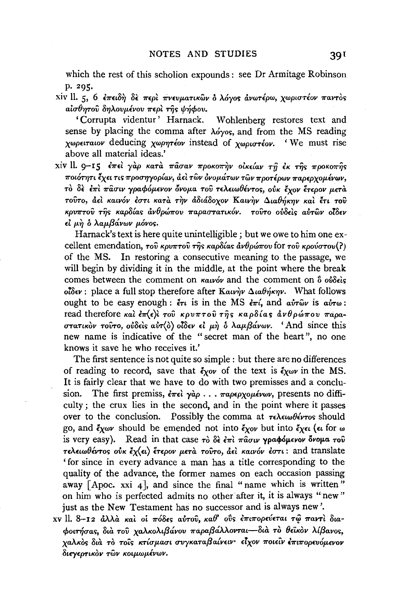which the rest of this scholion expounds: see Dr Armitage Robinson p. 295.

xiv ll. 5, 6 επειδή δε περί πνευματικών δ λόγος άνωτέρω, χωριστέον παντός αίσθητού δηλουμένου περί της ψήφου.

'Corrupta videntur' Harnack. Wohlenberg restores text and sense by placing the comma after  $\lambda \acute{o}y$  and from the MS reading χωρειταιον deducing χωρητέον instead of χωριστέον. 'We must rise above all material ideas.'

xiv ll. 9-15 έπει γάρ κατά πάσαν προκοπήν οικείαν τη έκ της προκοπής ποιότητι έχει τις προσηγορίαν, αεὶ τῶν ὀνομάτων τῶν προτέρων παρερχομένων, το δε επι πασιν γραφόμενον όνομα του τελειωθέντος, ούκ έχον έτερον μετα τούτο, αεί καινόν έστι κατά την αδιάδοχον Καινήν Διαθήκην και έτι του κρυπτού της καρδίας άνθρώπου παραστατικόν, τούτο ούδεις αύτων οίδεν εί μη δ λαμβάνων μόνος.

Harnack's text is here quite unintelligible; but we owe to him one excellent emendation, του κρυπτού της καρδίας άνθρώπου for του κρούστου(?) of the MS. In restoring a consecutive meaning to the passage, we will begin by dividing it in the middle, at the point where the break comes between the comment on  $\kappa a\nu\acute{o}\nu$  and the comment on  $\mathring{\sigma}$  over  $\delta$ οΐδεν: place a full stop therefore after Καινήν Διαθήκην. What follows ought to be easy enough:  $\zeta_{\tau}$  is in the MS  $\zeta_{\tau}$ , and  $\omega \tau_{\omega}$  is  $\omega_{\tau}$ . read therefore και επ(ε)ι του κρυπτού της καρδίας ανθρώπου παραστατικόν τούτο, ούδεις αύτ(δ) οίδεν εί μή δ λαμβάνων. 'And since this new name is indicative of the "secret man of the heart", no one knows it save he who receives it.'

The first sentence is not quite so simple : but there are no differences of reading to record, save that  $\zeta_{\chi}$  of the text is  $\zeta_{\chi}$  in the MS. It is fairly clear that we have to do with two premisses and a conclusion. The first premiss,  $\epsilon \pi \epsilon \partial \phi$  ...  $\pi a \rho \epsilon \rho \chi \partial \mu \epsilon \nu \omega \nu$ , presents no difficulty; the crux lies in the second, and in the point where it passes over to the conclusion. Possibly the comma at  $\tau \in \lambda \in \omega \theta \leq \tau$  should go, and  $\zeta_{\chi\omega\nu}$  should be emended not into  $\zeta_{\chi\omega\nu}$  but into  $\zeta_{\chi\epsilon\iota}$  ( $\epsilon\iota$  for  $\omega$ is very easy). Read in that case  $\tau$  of  $\delta \epsilon \partial \tau \partial \tau$   $\tau \partial \sigma \partial \tau$   $\tau \partial \phi$ τελειωθέντος ούκ έχ(ει) έτερον μετά τούτο, άει καινόν έστι: and translate 'for since in every advance a man has a title corresponding to the quality of the advance, the former names on each occasion passing away [Apoc. xxi 4], and since the final "name which is written" on him who is perfected admits no other after it, it is always "new" just as the New Testament has no successor and is always new'.

xv II. 8-12 άλλα και οι πόδες αύτου, καθ' ούς επιπορεύεται τω παντι διαφοιτήσας, διά του γαλκολιβάνου παραβάλλονται—διά τὸ θεϊκὸν λίβανος, γαλκός διά το τοίς κτίσμασι συγκαταβαίνειν· είχον ποιείν έπιπορευόμενον διεγερτικόν των κοιμωμένων.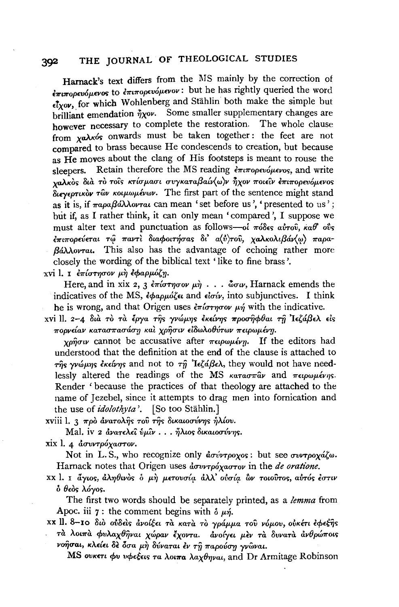## 392 THE JOURNAL OF THEOLOGICAL STUDIES

Harnack's text differs from the MS mainly by the correction of *<i>λπιπορευόμενος* to *επιπορευόμενον*: but he has rightly queried the word  $\epsilon$ <sup>7</sup>*xov*, for which Wohlenberg and Stählin both make the simple but brilliant emendation  $\eta_{\chi}$ ov. Some smaller supplementary changes are however necessary to complete the restoration. The whole clause from *xa* $\lambda$ <sub>K</sub>ós onwards must be taken together: the feet are not compared to brass because He condescends to creation, but because as He moves about the clang of His footsteps is meant to rouse the sleepers. Retain therefore the MS reading επιπορευόμενος, and write *XaJ\KO'>* --''"''' *oLa TO TOL'>* ~' *Knup.aut uvyKaTa* {3'()v *aw w TJXOV* .. *7rOL£tV* ~· *£7rL7ropwop.£vo<;* ' *8try£PTLKcw 'Twv Kotp.wp.ivwv.* The first part of the sentence might stand as it is, if παραβάλλονται can mean ' set before us', ' presented to us'; but if, as I rather think, it can only mean 'compared ', I suppose we must alter text and punctuation as follows-oi  $\pi$ ódes avrov, ka $\theta$  ovs *ιπιπορεύεται τώ παντι διαφοιτήσας δι' α(ύ)του, χαλκολιβάν*(ω) παρα*f3illoVTaL.* This also has the advantage of echoing rather more closely the wording of the biblical text 'like to fine brass'.

xvi l. I επίστησον μη εφαρμόζη.

Here, and in xix 2, 3  $\epsilon \pi i \sigma \tau \eta \sigma \sigma \nu \mu \eta \ldots \sigma \sigma \nu$ , Harnack emends the indicatives of the MS,  $\epsilon \phi a \rho \mu \delta \zeta \epsilon t$  and  $\epsilon \delta \sigma \omega t$ , into subjunctives. I think he is wrong, and that Origen uses  $\epsilon \pi \omega \sim \mu \gamma$  with the indicative.

xvi II. 2-4 διà τὸ τà ἐργα της γνώμης ἐκείνης προσηφθαι τη Ιεζάβελ είς  $\pi$ οργείαν κατασπασάση και χρήσιν ειδωλοθύτων πειρωμένη.

 $\gamma \rho \hat{\eta} \sigma \nu$  cannot be accusative after  $\pi \epsilon \rho \omega \mu \epsilon \nu \eta$ . If the editors had understood that the definition at the end of the clause is attached to  $\tau$ *ns*  $\gamma$ vώμης *έκείνης* and not to  $\tau \hat{\eta}$  'lεζάβελ, they would not have needlessly altered the readings of the MS  $\kappa a \tau a \sigma \pi a \nu$  and  $\pi \epsilon \omega_0 \omega \mu \epsilon \nu \eta s$ . Render ' because the practices of that theology are attached to the name of Jezebel, since it attempts to drag men into fornication and the use of *idolothyta*<sup>'</sup>. [So too Stählin.]

xviii 1. 3 πρὸ ἀνατολής τοῦ της δικαιοσύνης ήλίου.

Mal. iv 2 *άνατελεΐ ύμιν... ήλιος δικαιοσύνης.* 

xix l. 4 *dovrtpoxaorov*.

Not in L.S., who recognize only *ασύντροχος*: but see συντροχάζω. Harnack notes that Origen uses  $d$ *ovrpóxaorov* in the *de oratione*.

XX l. I *άγιος, άληθιν*ός *δ* μή μετουσία άλλ' ούσία ών τοιούτος, αύτός έστιν *b 8£o<> Myos.* 

The first two words should be separately printed, as a *lemma* from Apoc. iii 7: the comment begins with  $\delta \mu \eta$ .

XX II. 8-10 διὸ ούδεις άνοίξει τα κατα το γράμμα του νόμου, ουκέτι έφεξης *'Ta AOL'Tra cpv"Aax8TjvaL xJJpav €xov'Ta. avolyn p."Ev 'Ta 8vvaTa &v8pw7rOL<; voησαι, κλείει δε δσα μη δύναται εν τη παρούση γνωναι.* 

MS *ουκετι φυ νφεξεις τα λοιπα λαχθηναι*, and Dr Armitage Robinson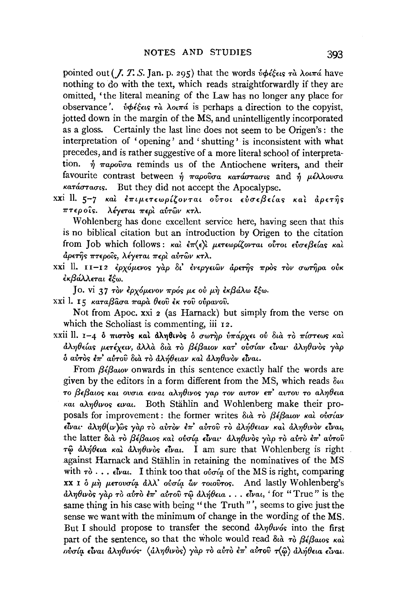pointed out (*J. T. S. Jan. p. 295*) that the words  $\dot{v}$   $\phi \dot{\epsilon} \xi \epsilon v s$   $\tau \dot{a}$   $\lambda \omega \pi \dot{a}$  have nothing to do with the text, which reads straightforwardly if they are omitted, 'the literal meaning of the Law has no longer any place for observance'.  $\dot{v}\phi\acute{\epsilon}\acute{\epsilon}\epsilon$  is perhaps a direction to the copyist, jotted down in the margin of the MS, and unintelligently incorporated as a gloss. Certainly the last line does not seem to be Origen's: the interpretation of 'opening' and 'shutting' is inconsistent with what precedes, and is rather suggestive of a more literal school of interpreta- $\eta$   $\pi a\rho o\hat{v}\sigma a$  reminds us of the Antiochene writers, and their tion. favourite contrast between  $\hat{n}$  *παρούσα κατάστασις* and  $\hat{n}$  μέλλουσα κατάστασις. But they did not accept the Apocalypse.

xxi II. 5-7 και επιμετεωρίζονται ούτοι εύσεβείας και αρετής πτεροίς. λέγεται περί αύτων κτλ.

Wohlenberg has done excellent service here, having seen that this is no biblical citation but an introduction by Origen to the citation from Job which follows: και επ $\langle \epsilon \rangle$ ι μετεωρίζονται ούτοι ευσεβείας και άρετῆς πτεροῖς, λέγεται περὶ αὐτῶν κτλ.

xxi ll. 11-12 έρχόμενος γάρ δι' ένεργειών άρετης πρός τον σωτήρα ούκ έκβάλλεται έξω.

Jo. vi 37 τον έρχόμενον πρός με ού μη εκβάλω έξω.

xxi l. 15 καταβάσα παρά θεού έκ του ούρανου.

Not from Apoc. xxi 2 (as Harnack) but simply from the verse on which the Scholiast is commenting, iii 12.

xxii ll. 1-4 δ πιστός και άληθινός δ σωτήρ υπάρχει ού δια το πίστεως και άληθείας μετέχειν, άλλὰ διὰ τὸ βέβαιον κατ' οὐσίαν εἶναι· ἀληθινὸς γὰρ δ αύτος έπ' αύτου δια το άλήθειαν και άληθινον είναι.

From  $\beta \epsilon \beta a \omega \nu$  onwards in this sentence exactly half the words are given by the editors in a form different from the MS, which reads  $\delta u$ το βεβαιος και ουσια ειναι αληθινος γαρ τον αυτον επ' αυτου το αληθεια και αληθινος ειναι. Both Stählin and Wohlenberg make their proposals for improvement: the former writes  $\delta u \hat{a}$  το βέβαιον και ουσίαν είναι· άληθ(ιν)ώς γαρ το αύτον έπ' αύτου το άλήθειαν και άληθινον είναι, the latter διά το βέβαιος και ουσία είναι άληθινος γαρ το αυτό επ' αυτού τω άλήθεια και άληθινος είναι. I am sure that Wohlenberg is right. against Harnack and Stählin in retaining the nominatives of the MS with  $\tau \delta$ ...  $\epsilon \mathbf{\hat{i}}$  val. I think too that  $\phi \mathbf{\hat{i}}$  a of the MS is right, comparing XX I ο μη μετουσία άλλ' ούσία ών τοιούτος. And lastly Wohlenberg's αληθινός γάρ το αύτο έπ' αύτου τω αλήθεια... είναι, 'for "True" is the same thing in his case with being "the Truth"', seems to give just the sense we want with the minimum of change in the wording of the MS. But I should propose to transfer the second  $\partial \lambda \eta \partial \nu \phi$  into the first part of the sentence, so that the whole would read  $\delta u \hat{a} + \delta \beta \hat{\epsilon} \beta \hat{a} \cos \kappa \hat{a} \hat{b}$ ούσία είναι άληθινός· (άληθινός) γαρ το αύτο έπ' αύτου τ(ω) άλήθεια είναι.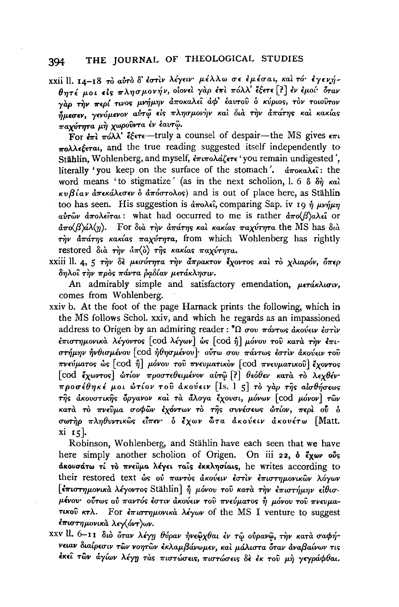xxii ll. 14-18 το αύτο δ' έστιν λέγειν· μέλλω σε εμέσαι, και τό· έγενήθητέ μοι είς πλησμονήν, οίονεί γαρ έπι πόλλ έξετε [?] έν εμοί δταν γάρ την περί τινος μνήμην αποκαλεί αφ' έαυτού ο κύριος, τον τοιούτον .<br>ήμεσεν, γενόμενον αύτώ είς πλησμονήν και δια την απάτης και κακίας παχύτητα μή χωρούντα έν έαυτώ.

For  $\epsilon \pi i \pi \omega \lambda \lambda^2$   $\epsilon \xi \epsilon \tau \epsilon$  -truly a counsel of despair-the MS gives  $\epsilon \pi \iota$  $\pi$ oλλεέεται, and the true reading suggested itself independently to Stählin, Wohlenberg, and myself,  $\epsilon \pi \iota \pi$ oλάζετε 'you remain undigested', literally 'you keep on the surface of the stomach'.  $\frac{\partial \pi}{\partial x}$   $\frac{\partial \pi}{\partial x}$ : the word means 'to stigmatize' (as in the next scholion, l. 6  $\delta \delta \eta$  kal  $\kappa v B \hat{i} a v \hat{a} \pi \epsilon \kappa \hat{a} \lambda \epsilon \sigma \epsilon v \hat{o} \hat{a} \pi \hat{o} \sigma \tau \hat{o} \lambda \hat{o} s$  and is out of place here, as Stählin too has seen. His suggestion is  $\partial \pi$ o $\lambda \in \hat{\mathfrak{c}}$ , comparing Sap. iv 19  $\hat{\eta}$   $\mu\nu \hat{\eta} \mu \eta$ αυτών άπολείται: what had occurred to me is rather  $\frac{d}{dx} \sigma(\beta)$ αλεί or  $\frac{\partial \pi}{\partial \phi}$ αλ(η). For δια την απάτης και κακίας παχύτητα the MS has δια  $\tau_{\gamma}$   $\dot{\alpha}$   $\tau_{\gamma}$   $\dot{\alpha}$   $\tau_{\gamma}$   $\dot{\alpha}$   $\dot{\alpha}$   $\dot{\alpha}$   $\dot{\alpha}$   $\dot{\alpha}$   $\tau_{\gamma}$   $\dot{\alpha}$  are  $\dot{\alpha}$  from which Wohlenberg has rightly restored διά την  $d\pi(\delta)$  της κακίας παχύτητα.

xxiii ll. 4, 5 την δε μεσότητα την άπρακτον έχοντος και το χλιαρόν, όπερ δηλοΐ την ποὸς πάντα δαδίαν μετάκλησιν.

An admirably simple and satisfactory emendation, μετάκλισιν, comes from Wohlenberg.

xxiv b. At the foot of the page Harnack prints the following, which in the MS follows Schol. xxiv, and which he regards as an impassioned address to Origen by an admiring reader:  $\Omega$  σου πάντως άκούειν έστιν έπιστημονικά λέγοντος [cod λέγων] ως [cod ή] μόνου του κατά την έπιστήμην ήνθισμένου [cod ήθησμένου]· ούτω σου πάντως έστιν ακούειν του πνεύματος ως [cod η] μόνου του πνευματικον [cod πνευματικού] έχοντος [cod έχωντος] ώτιον προστεθειμένον αύτω [?] θεόθεν κατά το λεγθέν· προσέθηκέ μοι ώτίον του ακούειν [Is. 1 5] το γαρ της αισθήσεως της άκουστικης όργανον και τα άλογα έχουσι, μόνων [cod μόνον] των κατά το πνεύμα σοφών έχόντων το της συνέσεως ώτίον, περί ού δ σωτήρ πληθυντικώς είπεν· ο έχων ώτα ακούειν ακουέτω [Matt. xi 15l.

Robinson, Wohlenberg, and Stählin have each seen that we have here simply another scholion of Origen. On iii 22, o exav outs ακουσάτω τί το πνεύμα λέγει ταΐς έκκλησίαις, he writes according to their restored text ως ού παντός άκούειν έστιν επιστημονικών λόγων [επιστημονικά λέγοντος Stählin] ή μόνου του κατά την επιστήμην είθισμένου· οὖτως οὐ παντός ἐστιν ἀκούειν τοῦ πνεύματος ἢ μόνου τοῦ πνευματικού κτλ. For επιστημονικά λέγων of the MS I venture to suggest έπιστημονικά λεγ(όντ)ων.

xxv ll. 6-11 διό όταν λέγη θύραν ήνεωχθαι έν τω ούρανω, την κατά σαφήνειαν διαίρεσιν τῶν νοητῶν ἐκλαμβάνωμεν, καὶ μάλιστα δταν ἀναβαίνων τις έκει των άγίων λέγη τας πιστώσεις, πιστώσεις δε έκ του μη γεγράφθαι.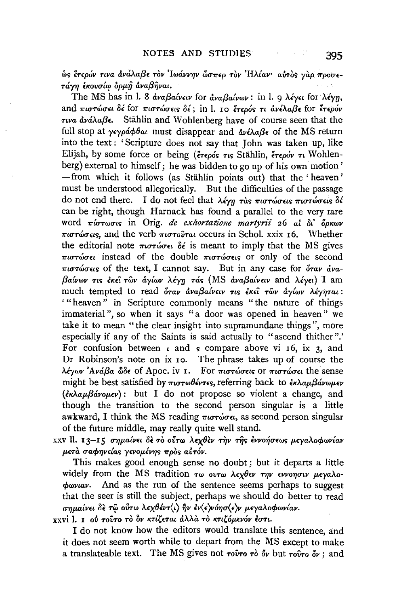ώς έτερόν τινα ανάλαβε τον Ιωάννην ὥσπερ τον Ηλίαν· αυτός γαρ προσετάνη ξκουσίω δομή ἀναβῆναι.

The MS has in 1. 8  $\frac{\partial \alpha}{\partial y} = \frac{\partial \alpha}{\partial x}$  for  $\frac{\partial \alpha}{\partial y} = \frac{\partial \alpha}{\partial y}$  in 1. 9  $\lambda \leq \gamma \epsilon$  for  $\lambda \leq \gamma \eta$ , and πιστώσει δέ for πιστώσεις δέ; in l, το έτερός τι άνέλαβε for έτερόν  $\tau$ *iva dvá* $\lambda$ a $\beta$ **c.** Stählin and Wohlenberg have of course seen that the full stop at  $\gamma \epsilon \gamma \omega \omega \omega \theta \alpha \omega$  must disappear and  $\frac{\partial \psi}{\partial \alpha} \beta \epsilon$  of the MS return into the text: 'Scripture does not say that John was taken up, like Elijah, by some force or being ( $\epsilon_{\text{TE000S}}$   $\tau_{\text{US}}$  Stählin,  $\epsilon_{\text{TE00V}}$   $\tau_{\text{U}}$  Wohlenberg) external to himself; he was bidden to go up of his own motion' -from which it follows (as Stählin points out) that the 'heaven' must be understood allegorically. But the difficulties of the passage do not end there. I do not feel that  $\lambda \epsilon \gamma \eta$  ràs πιστώσεις πιστώσεις δέ can be right, though Harnack has found a parallel to the very rare word  $\pi$ *i* $\sigma$ *r* $\omega$  $\sigma$ *is* in Orig. *de exhortatione martyrii* 26 ai  $\delta$ *i*  $\delta$ *ok* $\omega$ *v*  $\pi\mu\sigma\tau\omega\sigma\epsilon\epsilon s$ , and the verb  $\pi\mu\sigma\tau\omega\tau\alpha\iota$  occurs in Schol, xxix 16. Whether the editorial note  $\pi \omega \tau \omega \sigma \epsilon \ell$  of is meant to imply that the MS gives πιστώσει instead of the double πιστώσεις or only of the second  $\pi i \sigma \tau \omega \sigma \epsilon \epsilon s$  of the text, I cannot say. But in any case for  $\delta \tau \omega \tau \omega$ βαίνων τις έκει των άγίων λέγη τάς (MS αναβαίνειν and λέγει) I am much tempted to read όταν αναβαίνειν τις έκει των άγίων λέγηται: "heaven" in Scripture commonly means "the nature of things immaterial", so when it says "a door was opened in heaven" we take it to mean "the clear insight into supramundane things", more especially if any of the Saints is said actually to "ascend thither".' For confusion between  $\iota$  and  $\varsigma$  compare above vi 16, ix 3, and Dr Robinson's note on ix 10. The phrase takes up of course the  $\lambda$ έγων 'Ανάβα ώδε of Apoc, iv 1. For πιστώσεις or πιστώσει the sense might be best satisfied by  $\pi \omega \theta \acute{\epsilon}$  referring back to  $\ddot{\epsilon} \kappa \lambda \alpha \mu \beta \acute{\alpha} \nu \omega \mu \epsilon \nu$ (εκλαμβάνομεν): but I do not propose so violent a change, and though the transition to the second person singular is a little awkward. I think the MS reading  $\pi\omega\tau\omega\sigma\epsilon\mu$ , as second person singular of the future middle, may really quite well stand.

xxv ll. 13-15 σημαίνει δε το ούτω λεχθεν την της εννοήσεως μεγαλοφωνίαν μετά σαφηνείας γενομένης πρός αύτόν.

This makes good enough sense no doubt; but it departs a little widely from the MS tradition  $\tau\omega$  ovr $\omega$  λεχθεν την εννοησιν μεγαλο- $\phi$ www. And as the run of the sentence seems perhaps to suggest that the seer is still the subject, perhaps we should do better to read σημαίνει δε τώ ούτω λεχθέντ(ι) ην εν(ε)νόησ(ε)ν μεγαλοφωνίαν.

xxvi l. 1 ού τούτο τὸ ὂν κτίζεται ἀλλὰ τὸ κτιζόμενόν έστι.

I do not know how the editors would translate this sentence, and it does not seem worth while to depart from the MS except to make a translateable text. The MS gives not  $\tau$  o  $\partial \tau$  or  $\partial \nu$  but  $\tau \partial \tau$  or  $\partial \nu$ : and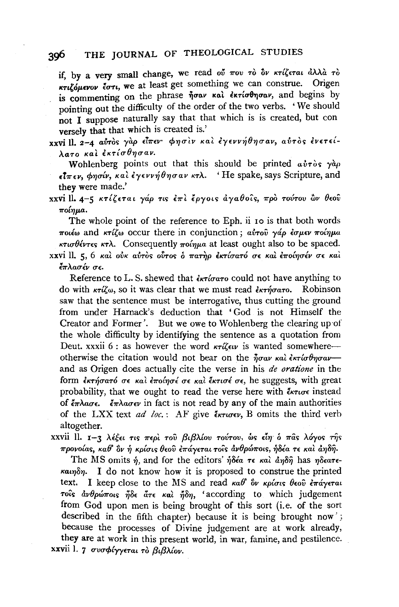### THE IOURNAL OF THEOLOGICAL STUDIES 396

if, by a very small change, we read ού που το δν κτίζεται άλλα το KTILOUEVOU COTI. We at least get something we can construe. Origen is commenting on the phrase ήσαν και εκτίσθησαν, and begins by pointing out the difficulty of the order of the two verbs. 'We should not I suppose naturally say that that which is is created, but con versely that that which is created is.'

xxvill. 2-4 αύτος γάρ είπεν φησιν και εγεννήθησαν, αύτος ένετείλατο και εκτίσθησαν.

Wohlenberg points out that this should be printed  $a\dot{v}\tau\dot{\phi}s$   $\gamma\dot{a}\rho$  $\epsilon \overline{\iota} \pi \epsilon \nu$ , φησίν, και έγεννήθησαν κτλ. 'He spake, says Scripture, and they were made.'

xxvi II. 4-5 κτίζεται γάρ τις έπι έργοις άγαθοΐς, προ τούτου ών θεού  $\pi$ oínua.

The whole point of the reference to Eph. ii 10 is that both words ποιέω and κτίζω occur there in conjunction; αύτου γάρ έσμεν ποίημα κτισθέντες κτλ. Consequently πρίημα at least ought also to be spaced. xxvi II. 5. 6 και ούκ αύτος ούτος ο πατηρ εκτίσατό σε και εποίησέν σε και έπλασέν σε.

Reference to L.S. shewed that  $\frac{2}{\epsilon}$ xioaro could not have anything to do with  $\kappa\tau\tilde{u}\omega$ , so it was clear that we must read  $\tilde{\epsilon}\kappa\tau\tilde{n}\sigma\sigma\tau$ . Robinson saw that the sentence must be interrogative, thus cutting the ground from under Harnack's deduction that 'God is not Himself the Creator and Former'. But we owe to Wohlenberg the clearing up of the whole difficulty by identifying the sentence as a quotation from Deut. xxxii 6 : as however the word  $\kappa\tau\tilde{\iota}\epsilon\iota\nu$  is wanted somewhere otherwise the citation would not bear on the  $\frac{1}{2}a\alpha v \kappa a\lambda \epsilon \kappa \tau (\sigma \theta \eta \sigma a \nu$ and as Origen does actually cite the verse in his de oratione in the form εκτήσατό σε και εποίησε σε και έκτισε σε, he suggests, with great probability, that we ought to read the verse here with  $\epsilon_{\text{NTUDE}}$  instead of  $\epsilon \pi \lambda a \sigma \epsilon$ .  $\epsilon \pi \lambda a \sigma \epsilon \nu$  in fact is not read by any of the main authorities of the LXX text ad loc.: AF give  $\epsilon_{\kappa \tau \omega \epsilon \nu}$ , B omits the third verb altogether.

xxvii 11. 1-3 λέξει τις περί του βιβλίου τούτου, ώς είη ο πάς λόγος της προνοίας, καθ' ὃν ή κρίσις θεού επάγεται τοίς ανθρώποις, ήδέα τε και αηδή.

The MS omits  $\hat{\eta}$ , and for the editors'  $\hat{\eta}$ ota  $\tau \epsilon$  και από διαδή has πδεατε- $\kappa \alpha$ unon. I do not know how it is proposed to construe the printed text. I keep close to the MS and read  $\kappa a\theta$  ov  $\kappa \rho i \sigma i s$  θεού έπάγεται τοίς ανθρώποις ήδε άτε και ήδη, 'according to which judgement from God upon men is being brought of this sort (i.e. of the sort described in the fifth chapter) because it is being brought now'; because the processes of Divine judgement are at work already, they are at work in this present world, in war, famine, and pestilence. xxvii 1. 7 συσφίγγεται τὸ βιβλίον.